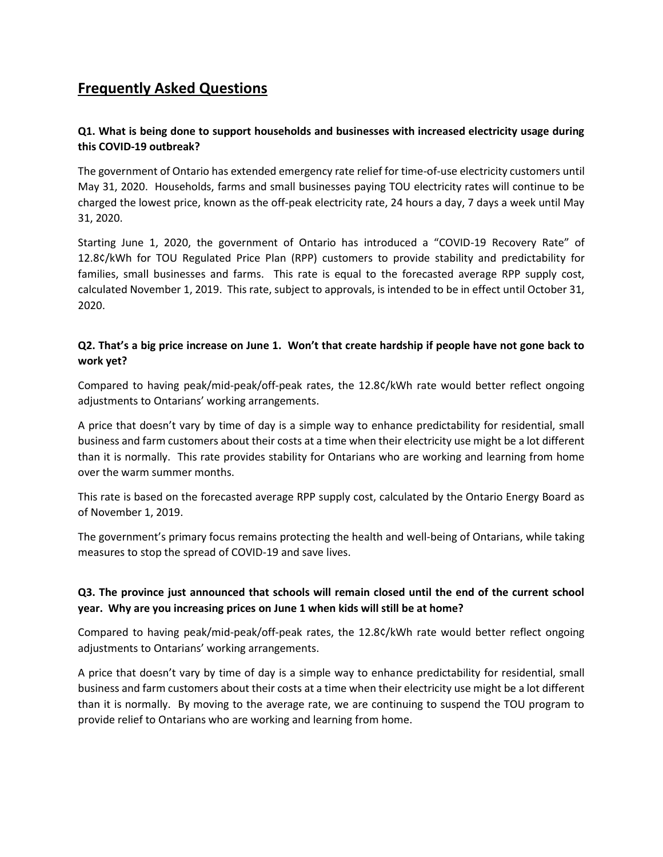# **Frequently Asked Questions**

## **Q1. What is being done to support households and businesses with increased electricity usage during this COVID-19 outbreak?**

The government of Ontario has extended emergency rate relief for time-of-use electricity customers until May 31, 2020. Households, farms and small businesses paying TOU electricity rates will continue to be charged the lowest price, known as the off-peak electricity rate, 24 hours a day, 7 days a week until May 31, 2020.

Starting June 1, 2020, the government of Ontario has introduced a "COVID-19 Recovery Rate" of 12.8¢/kWh for TOU Regulated Price Plan (RPP) customers to provide stability and predictability for families, small businesses and farms. This rate is equal to the forecasted average RPP supply cost, calculated November 1, 2019. This rate, subject to approvals, is intended to be in effect until October 31, 2020.

## **Q2. That's a big price increase on June 1. Won't that create hardship if people have not gone back to work yet?**

Compared to having peak/mid-peak/off-peak rates, the 12.8¢/kWh rate would better reflect ongoing adjustments to Ontarians' working arrangements.

A price that doesn't vary by time of day is a simple way to enhance predictability for residential, small business and farm customers about their costs at a time when their electricity use might be a lot different than it is normally. This rate provides stability for Ontarians who are working and learning from home over the warm summer months.

This rate is based on the forecasted average RPP supply cost, calculated by the Ontario Energy Board as of November 1, 2019.

The government's primary focus remains protecting the health and well-being of Ontarians, while taking measures to stop the spread of COVID-19 and save lives.

#### **Q3. The province just announced that schools will remain closed until the end of the current school year. Why are you increasing prices on June 1 when kids will still be at home?**

Compared to having peak/mid-peak/off-peak rates, the 12.8¢/kWh rate would better reflect ongoing adjustments to Ontarians' working arrangements.

A price that doesn't vary by time of day is a simple way to enhance predictability for residential, small business and farm customers about their costs at a time when their electricity use might be a lot different than it is normally. By moving to the average rate, we are continuing to suspend the TOU program to provide relief to Ontarians who are working and learning from home.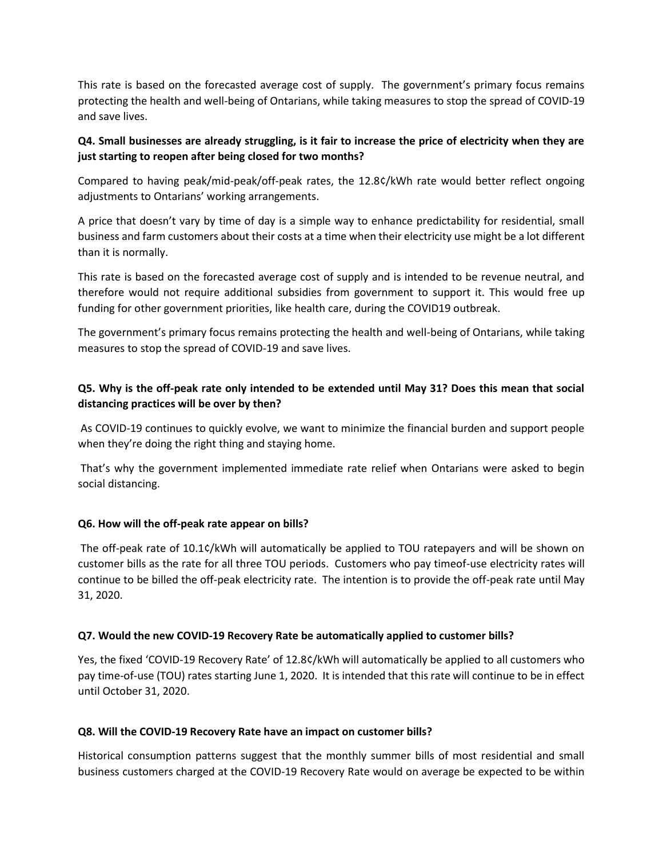This rate is based on the forecasted average cost of supply. The government's primary focus remains protecting the health and well-being of Ontarians, while taking measures to stop the spread of COVID-19 and save lives.

## **Q4. Small businesses are already struggling, is it fair to increase the price of electricity when they are just starting to reopen after being closed for two months?**

Compared to having peak/mid-peak/off-peak rates, the 12.8¢/kWh rate would better reflect ongoing adjustments to Ontarians' working arrangements.

A price that doesn't vary by time of day is a simple way to enhance predictability for residential, small business and farm customers about their costs at a time when their electricity use might be a lot different than it is normally.

This rate is based on the forecasted average cost of supply and is intended to be revenue neutral, and therefore would not require additional subsidies from government to support it. This would free up funding for other government priorities, like health care, during the COVID19 outbreak.

The government's primary focus remains protecting the health and well-being of Ontarians, while taking measures to stop the spread of COVID-19 and save lives.

# **Q5. Why is the off-peak rate only intended to be extended until May 31? Does this mean that social distancing practices will be over by then?**

As COVID-19 continues to quickly evolve, we want to minimize the financial burden and support people when they're doing the right thing and staying home.

That's why the government implemented immediate rate relief when Ontarians were asked to begin social distancing.

#### **Q6. How will the off-peak rate appear on bills?**

The off-peak rate of 10.1¢/kWh will automatically be applied to TOU ratepayers and will be shown on customer bills as the rate for all three TOU periods. Customers who pay timeof-use electricity rates will continue to be billed the off-peak electricity rate. The intention is to provide the off-peak rate until May 31, 2020.

#### **Q7. Would the new COVID-19 Recovery Rate be automatically applied to customer bills?**

Yes, the fixed 'COVID-19 Recovery Rate' of 12.8¢/kWh will automatically be applied to all customers who pay time-of-use (TOU) rates starting June 1, 2020. It is intended that this rate will continue to be in effect until October 31, 2020.

#### **Q8. Will the COVID-19 Recovery Rate have an impact on customer bills?**

Historical consumption patterns suggest that the monthly summer bills of most residential and small business customers charged at the COVID-19 Recovery Rate would on average be expected to be within